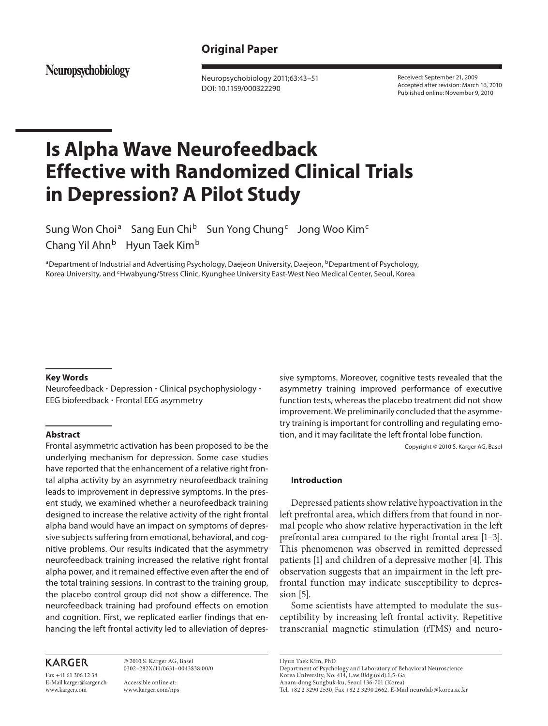# **Original Paper**

Neuropsychobiology

 Neuropsychobiology 2011;63:43–51 DOI: 10.1159/000322290

 Received: September 21, 2009 Accepted after revision: March 16, 2010 Published online: November 9, 2010

# **Is Alpha Wave Neurofeedback Effective with Randomized Clinical Trials in Depression? A Pilot Study**

Sung Won Choi<sup>a</sup> Sang Eun Chi<sup>b</sup> Sun Yong Chung<sup>c</sup> Jong Woo Kim<sup>c</sup> Chang Yil Ahn<sup>b</sup> Hyun Taek Kim<sup>b</sup>

<sup>a</sup> Department of Industrial and Advertising Psychology, Daejeon University, Daejeon, <sup>b</sup> Department of Psychology, Korea University, and <sup>c</sup>Hwabyung/Stress Clinic, Kyunghee University East-West Neo Medical Center, Seoul, Korea

## **Key Words**

 Neurofeedback - Depression - Clinical psychophysiology - EEG biofeedback - Frontal EEG asymmetry

#### **Abstract**

 Frontal asymmetric activation has been proposed to be the underlying mechanism for depression. Some case studies have reported that the enhancement of a relative right frontal alpha activity by an asymmetry neurofeedback training leads to improvement in depressive symptoms. In the present study, we examined whether a neurofeedback training designed to increase the relative activity of the right frontal alpha band would have an impact on symptoms of depressive subjects suffering from emotional, behavioral, and cognitive problems. Our results indicated that the asymmetry neurofeedback training increased the relative right frontal alpha power, and it remained effective even after the end of the total training sessions. In contrast to the training group, the placebo control group did not show a difference. The neurofeedback training had profound effects on emotion and cognition. First, we replicated earlier findings that enhancing the left frontal activity led to alleviation of depres-

# **KARGER**

Fax +41 61 306 12 34 E-Mail karger@karger.ch www.karger.com

 © 2010 S. Karger AG, Basel 0302–282X/11/0631–0043\$38.00/0

 Accessible online at: www.karger.com/nps sive symptoms. Moreover, cognitive tests revealed that the asymmetry training improved performance of executive function tests, whereas the placebo treatment did not show improvement. We preliminarily concluded that the asymmetry training is important for controlling and regulating emotion, and it may facilitate the left frontal lobe function.

Copyright © 2010 S. Karger AG, Basel

# **Introduction**

 Depressed patients show relative hypoactivation in the left prefrontal area, which differs from that found in normal people who show relative hyperactivation in the left prefrontal area compared to the right frontal area [1–3] . This phenomenon was observed in remitted depressed patients [1] and children of a depressive mother [4]. This observation suggests that an impairment in the left prefrontal function may indicate susceptibility to depression  $[5]$ .

 Some scientists have attempted to modulate the susceptibility by increasing left frontal activity. Repetitive transcranial magnetic stimulation (rTMS) and neuro-

 Hyun Taek Kim, PhD Department of Psychology and Laboratory of Behavioral Neuroscience Korea University, No. 414, Law Bldg.(old).1,5-Ga Anam-dong Sungbuk-ku, Seoul 136-701 (Korea) Tel. +82 2 3290 2530, Fax +82 2 3290 2662, E-Mail neurolab @ korea.ac.kr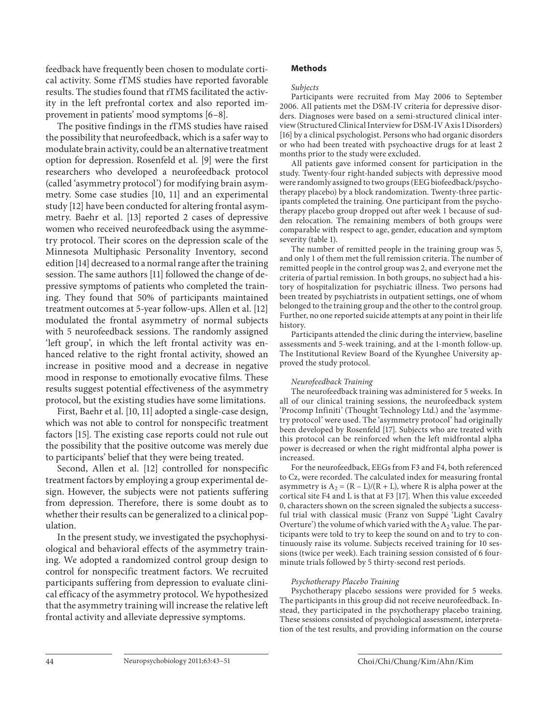feedback have frequently been chosen to modulate cortical activity. Some rTMS studies have reported favorable results. The studies found that rTMS facilitated the activity in the left prefrontal cortex and also reported improvement in patients' mood symptoms [6–8] .

 The positive findings in the rTMS studies have raised the possibility that neurofeedback, which is a safer way to modulate brain activity, could be an alternative treatment option for depression. Rosenfeld et al. [9] were the first researchers who developed a neurofeedback protocol (called 'asymmetry protocol') for modifying brain asymmetry. Some case studies [10, 11] and an experimental study [12] have been conducted for altering frontal asymmetry. Baehr et al. [13] reported 2 cases of depressive women who received neurofeedback using the asymmetry protocol. Their scores on the depression scale of the Minnesota Multiphasic Personality Inventory, second edition [14] decreased to a normal range after the training session. The same authors [11] followed the change of depressive symptoms of patients who completed the training. They found that 50% of participants maintained treatment outcomes at 5-year follow-ups. Allen et al. [12] modulated the frontal asymmetry of normal subjects with 5 neurofeedback sessions. The randomly assigned 'left group', in which the left frontal activity was enhanced relative to the right frontal activity, showed an increase in positive mood and a decrease in negative mood in response to emotionally evocative films. These results suggest potential effectiveness of the asymmetry protocol, but the existing studies have some limitations.

 First, Baehr et al. [10, 11] adopted a single-case design, which was not able to control for nonspecific treatment factors [15]. The existing case reports could not rule out the possibility that the positive outcome was merely due to participants' belief that they were being treated.

 Second, Allen et al. [12] controlled for nonspecific treatment factors by employing a group experimental design. However, the subjects were not patients suffering from depression. Therefore, there is some doubt as to whether their results can be generalized to a clinical population.

 In the present study, we investigated the psychophysiological and behavioral effects of the asymmetry training. We adopted a randomized control group design to control for nonspecific treatment factors. We recruited participants suffering from depression to evaluate clinical efficacy of the asymmetry protocol. We hypothesized that the asymmetry training will increase the relative left frontal activity and alleviate depressive symptoms.

# **Methods**

#### *Subjects*

 Participants were recruited from May 2006 to September 2006. All patients met the DSM-IV criteria for depressive disorders. Diagnoses were based on a semi-structured clinical interview (Structured Clinical Interview for DSM-IV Axis I Disorders) [16] by a clinical psychologist. Persons who had organic disorders or who had been treated with psychoactive drugs for at least 2 months prior to the study were excluded.

 All patients gave informed consent for participation in the study. Twenty-four right-handed subjects with depressive mood were randomly assigned to two groups (EEG biofeedback/psychotherapy placebo) by a block randomization. Twenty-three participants completed the training. One participant from the psychotherapy placebo group dropped out after week 1 because of sudden relocation. The remaining members of both groups were comparable with respect to age, gender, education and symptom severity (table 1).

 The number of remitted people in the training group was 5, and only 1 of them met the full remission criteria. The number of remitted people in the control group was 2, and everyone met the criteria of partial remission. In both groups, no subject had a history of hospitalization for psychiatric illness. Two persons had been treated by psychiatrists in outpatient settings, one of whom belonged to the training group and the other to the control group. Further, no one reported suicide attempts at any point in their life history.

 Participants attended the clinic during the interview, baseline assessments and 5-week training, and at the 1-month follow-up. The Institutional Review Board of the Kyunghee University approved the study protocol.

#### *Neurofeedback Training*

 The neurofeedback training was administered for 5 weeks. In all of our clinical training sessions, the neurofeedback system 'Procomp Infiniti' (Thought Technology Ltd.) and the 'asymmetry protocol' were used. The 'asymmetry protocol' had originally been developed by Rosenfeld [17]. Subjects who are treated with this protocol can be reinforced when the left midfrontal alpha power is decreased or when the right midfrontal alpha power is increased.

 For the neurofeedback, EEGs from F3 and F4, both referenced to Cz, were recorded. The calculated index for measuring frontal asymmetry is  $A_2 = (R - L)/(R + L)$ , where R is alpha power at the cortical site F4 and L is that at F3 [17] . When this value exceeded 0, characters shown on the screen signaled the subjects a successful trial with classical music (Franz von Suppé 'Light Cavalry Overture') the volume of which varied with the  $A_2$  value. The participants were told to try to keep the sound on and to try to continuously raise its volume. Subjects received training for 10 sessions (twice per week). Each training session consisted of 6 fourminute trials followed by 5 thirty-second rest periods.

#### *Psychotherapy Placebo Training*

 Psychotherapy placebo sessions were provided for 5 weeks. The participants in this group did not receive neurofeedback. Instead, they participated in the psychotherapy placebo training. These sessions consisted of psychological assessment, interpretation of the test results, and providing information on the course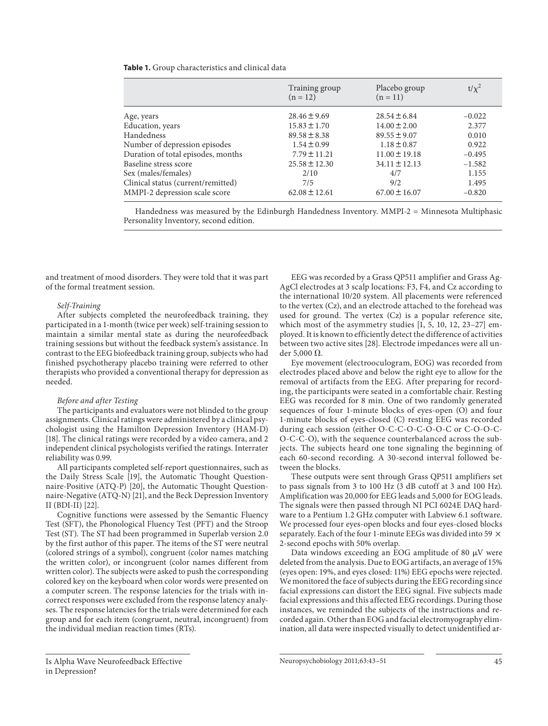| <b>Table 1.</b> Group characteristics and clinical data |  |
|---------------------------------------------------------|--|
|---------------------------------------------------------|--|

|                                    | Training group<br>$(n = 12)$ | Placebo group<br>$(n = 11)$ | $t/\chi^2$ |
|------------------------------------|------------------------------|-----------------------------|------------|
| Age, years                         | $28.46 \pm 9.69$             | $28.54 \pm 6.84$            | $-0.022$   |
| Education, years                   | $15.83 \pm 1.70$             | $14.00 \pm 2.00$            | 2.377      |
| Handedness                         | $89.58 \pm 8.38$             | $89.55 \pm 9.07$            | 0.010      |
| Number of depression episodes      | $1.54 \pm 0.99$              | $1.18 \pm 0.87$             | 0.922      |
| Duration of total episodes, months | $7.79 \pm 11.21$             | $11.00 \pm 19.18$           | $-0.495$   |
| Baseline stress score              | $25.58 \pm 12.30$            | $34.11 \pm 12.13$           | $-1.582$   |
| Sex (males/females)                | 2/10                         | 4/7                         | 1.155      |
| Clinical status (current/remitted) | 7/5                          | 9/2                         | 1.495      |
| MMPI-2 depression scale score      | $62.08 \pm 12.61$            | $67.00 \pm 16.07$           | $-0.820$   |
|                                    |                              |                             |            |

Handedness was measured by the Edinburgh Handedness Inventory. MMPI-2 = Minnesota Multiphasic Personality Inventory, second edition.

and treatment of mood disorders. They were told that it was part of the formal treatment session.

#### *Self-Training*

 After subjects completed the neurofeedback training, they participated in a 1-month (twice per week) self-training session to maintain a similar mental state as during the neurofeedback training sessions but without the feedback system's assistance. In contrast to the EEG biofeedback training group, subjects who had finished psychotherapy placebo training were referred to other therapists who provided a conventional therapy for depression as needed.

#### *Before and after Testing*

 The participants and evaluators were not blinded to the group assignments. Clinical ratings were administered by a clinical psychologist using the Hamilton Depression Inventory (HAM-D) [18]. The clinical ratings were recorded by a video camera, and 2 independent clinical psychologists verified the ratings. Interrater reliability was 0.99.

 All participants completed self-report questionnaires, such as the Daily Stress Scale [19], the Automatic Thought Questionnaire-Positive (ATQ-P) [20], the Automatic Thought Questionnaire-Negative (ATQ-N) [21], and the Beck Depression Inventory II (BDI-II)  $[22]$ .

 Cognitive functions were assessed by the Semantic Fluency Test (SFT), the Phonological Fluency Test (PFT) and the Stroop Test (ST). The ST had been programmed in Superlab version 2.0 by the first author of this paper. The items of the ST were neutral (colored strings of a symbol), congruent (color names matching the written color), or incongruent (color names different from written color). The subjects were asked to push the corresponding colored key on the keyboard when color words were presented on a computer screen. The response latencies for the trials with incorrect responses were excluded from the response latency analyses. The response latencies for the trials were determined for each group and for each item (congruent, neutral, incongruent) from the individual median reaction times (RTs).

 EEG was recorded by a Grass QP511 amplifier and Grass Ag-AgCl electrodes at 3 scalp locations: F3, F4, and Cz according to the international 10/20 system. All placements were referenced to the vertex (Cz), and an electrode attached to the forehead was used for ground. The vertex (Cz) is a popular reference site, which most of the asymmetry studies [1, 5, 10, 12, 23–27] employed. It is known to efficiently detect the difference of activities between two active sites [28] . Electrode impedances were all under 5,000 $\Omega$ .

 Eye movement (electrooculogram, EOG) was recorded from electrodes placed above and below the right eye to allow for the removal of artifacts from the EEG. After preparing for recording, the participants were seated in a comfortable chair. Resting EEG was recorded for 8 min. One of two randomly generated sequences of four 1-minute blocks of eyes-open (O) and four 1-minute blocks of eyes-closed (C) resting EEG was recorded during each session (either O-C-C-O-C-O-O-C or C-O-O-C-O-C-C-O), with the sequence counterbalanced across the subjects. The subjects heard one tone signaling the beginning of each 60-second recording. A 30-second interval followed between the blocks.

 These outputs were sent through Grass QP511 amplifiers set to pass signals from 3 to 100 Hz (3 dB cutoff at 3 and 100 Hz). Amplification was 20,000 for EEG leads and 5,000 for EOG leads. The signals were then passed through NI PCI 6024E DAQ hardware to a Pentium 1.2 GHz computer with Labview 6.1 software. We processed four eyes-open blocks and four eyes-closed blocks separately. Each of the four 1-minute EEGs was divided into 59  $\times$ 2-second epochs with 50% overlap.

Data windows exceeding an EOG amplitude of 80  $\mu$ V were deleted from the analysis. Due to EOG artifacts, an average of 15% (eyes open: 19%, and eyes closed: 11%) EEG epochs were rejected. We monitored the face of subjects during the EEG recording since facial expressions can distort the EEG signal. Five subjects made facial expressions and this affected EEG recordings. During those instances, we reminded the subjects of the instructions and recorded again. Other than EOG and facial electromyography elimination, all data were inspected visually to detect unidentified ar-

Is Alpha Wave Neurofeedback Effective in Depression?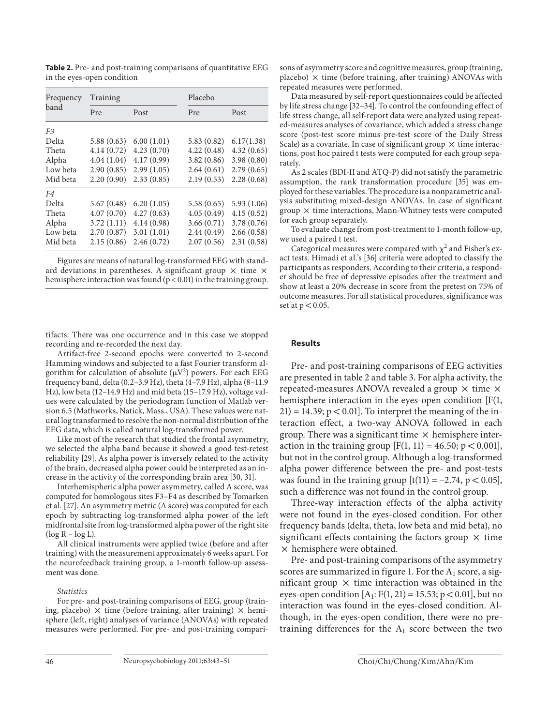Table 2. Pre- and post-training comparisons of quantitative EEG in the eyes-open condition

| Frequency<br>band | Training   |            | Placebo    |             |  |
|-------------------|------------|------------|------------|-------------|--|
|                   | Pre        | Post       | Pre        | Post        |  |
| F <sub>3</sub>    |            |            |            |             |  |
| Delta             | 5.88(0.63) | 6.00(1.01) | 5.83(0.82) | 6.17(1.38)  |  |
| Theta             | 4.14(0.72) | 4.23(0.70) | 4.22(0.48) | 4.32(0.65)  |  |
| Alpha             | 4.04(1.04) | 4.17(0.99) | 3.82(0.86) | 3.98(0.80)  |  |
| Low beta          | 2.90(0.85) | 2.99(1.05) | 2.64(0.61) | 2.79(0.65)  |  |
| Mid beta          | 2.20(0.90) | 2.33(0.85) | 2.19(0.53) | 2.28(0.68)  |  |
| F4                |            |            |            |             |  |
| Delta             | 5.67(0.48) | 6.20(1.05) | 5.58(0.65) | 5.93(1.06)  |  |
| Theta             | 4.07(0.70) | 4.27(0.63) | 4.05(0.49) | 4.15(0.52)  |  |
| Alpha             | 3.72(1.11) | 4.14(0.98) | 3.66(0.71) | 3.78 (0.76) |  |
| Low beta          | 2.70(0.87) | 3.01(1.01) | 2.44(0.49) | 2.66(0.58)  |  |
| Mid beta          | 2.15(0.86) | 2.46(0.72) | 2.07(0.56) | 2.31(0.58)  |  |

Figures are means of natural log-transformed EEG with standard deviations in parentheses. A significant group  $\times$  time  $\times$ hemisphere interaction was found  $(p < 0.01)$  in the training group.

tifacts. There was one occurrence and in this case we stopped recording and re-recorded the next day.

 Artifact-free 2-second epochs were converted to 2-second Hamming windows and subjected to a fast Fourier transform algorithm for calculation of absolute  $(\mu V^2)$  powers. For each EEG frequency band, delta (0.2–3.9 Hz), theta (4–7.9 Hz), alpha (8–11.9 Hz), low beta (12–14.9 Hz) and mid beta (15–17.9 Hz), voltage values were calculated by the periodogram function of Matlab version 6.5 (Mathworks, Natick, Mass., USA). These values were natural log transformed to resolve the non-normal distribution of the EEG data, which is called natural log-transformed power.

 Like most of the research that studied the frontal asymmetry, we selected the alpha band because it showed a good test-retest reliability [29]. As alpha power is inversely related to the activity of the brain, decreased alpha power could be interpreted as an increase in the activity of the corresponding brain area [30, 31] .

 Interhemispheric alpha power asymmetry, called A score, was computed for homologous sites F3–F4 as described by Tomarken et al. [27] . An asymmetry metric (A score) was computed for each epoch by subtracting log-transformed alpha power of the left midfrontal site from log-transformed alpha power of the right site  $(\log R - \log L)$ .

 All clinical instruments were applied twice (before and after training) with the measurement approximately 6 weeks apart. For the neurofeedback training group, a 1-month follow-up assessment was done.

#### *Statistics*

 For pre- and post-training comparisons of EEG, group (training, placebo)  $\times$  time (before training, after training)  $\times$  hemisphere (left, right) analyses of variance (ANOVAs) with repeated measures were performed. For pre- and post-training comparisons of asymmetry score and cognitive measures, group (training,  $placebo)$   $\times$  time (before training, after training) ANOVAs with repeated measures were performed.

 Data measured by self-report questionnaires could be affected by life stress change [32–34] . To control the confounding effect of life stress change, all self-report data were analyzed using repeated-measures analyses of covariance, which added a stress change score (post-test score minus pre-test score of the Daily Stress Scale) as a covariate. In case of significant group  $\times$  time interactions, post hoc paired t tests were computed for each group separately.

 As 2 scales (BDI-II and ATQ-P) did not satisfy the parametric assumption, the rank transformation procedure [35] was employed for these variables. The procedure is a nonparametric analysis substituting mixed-design ANOVAs. In case of significant group  $\times$  time interactions, Mann-Whitney tests were computed for each group separately.

 To evaluate change from post-treatment to 1-month follow-up, we used a paired t test.

Categorical measures were compared with  $\chi^2$  and Fisher's exact tests. Himadi et al.'s [36] criteria were adopted to classify the participants as responders. According to their criteria, a responder should be free of depressive episodes after the treatment and show at least a 20% decrease in score from the pretest on 75% of outcome measures. For all statistical procedures, significance was set at  $p < 0.05$ .

### **Results**

 Pre- and post-training comparisons of EEG activities are presented in table 2 and table 3 . For alpha activity, the repeated-measures ANOVA revealed a group  $\times$  time  $\times$ hemisphere interaction in the eyes-open condition [F(1,  $21$ ) = 14.39; p < 0.01]. To interpret the meaning of the interaction effect, a two-way ANOVA followed in each group. There was a significant time  $\times$  hemisphere interaction in the training group  $[F(1, 11) = 46.50; p < 0.001]$ , but not in the control group. Although a log-transformed alpha power difference between the pre- and post-tests was found in the training group  $[t(11) = -2.74, p < 0.05]$ , such a difference was not found in the control group.

 Three-way interaction effects of the alpha activity were not found in the eyes-closed condition. For other frequency bands (delta, theta, low beta and mid beta), no significant effects containing the factors group  $\times$  time  $\times$  hemisphere were obtained.

 Pre- and post-training comparisons of the asymmetry scores are summarized in figure 1. For the  $A_1$  score, a significant group  $\times$  time interaction was obtained in the eyes-open condition  $[A_1: F(1, 21) = 15.53; p < 0.01]$ , but no interaction was found in the eyes-closed condition. Although, in the eyes-open condition, there were no pretraining differences for the  $A_1$  score between the two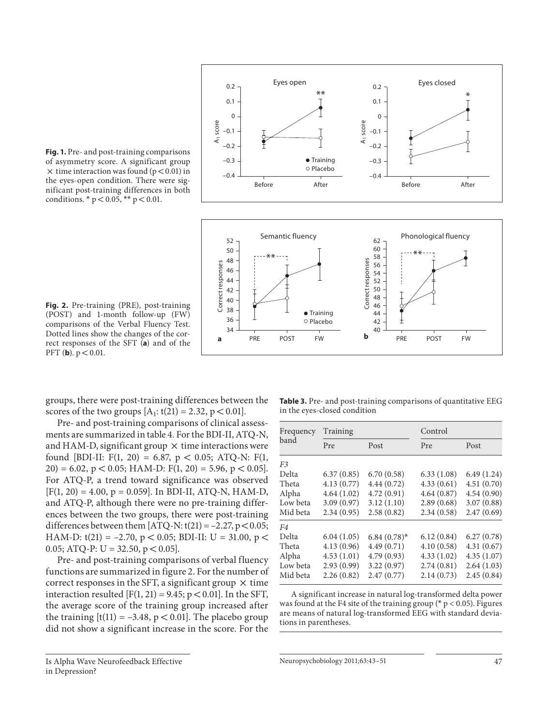

**Fig. 1.** Pre- and post-training comparisons of asymmetry score. A significant group  $\times$  time interaction was found (p < 0.01) in the eyes-open condition. There were significant post-training differences in both conditions. \*  $p < 0.05$ , \*\*  $p < 0.01$ .

(POST) and 1-month follow-up (FW) comparisons of the Verbal Fluency Test. Dotted lines show the changes of the correct responses of the SFT (a) and of the PFT (**b**).  $p < 0.01$ .

groups, there were post-training differences between the scores of the two groups  $[A_1: t(21) = 2.32, p < 0.01]$ .

 Pre- and post-training comparisons of clinical assessments are summarized in table 4 . For the BDI-II, ATQ-N, and HAM-D, significant group  $\times$  time interactions were found [BDI-II: F(1, 20) = 6.87,  $p < 0.05$ ; ATQ-N: F(1, 20) = 6.02, p < 0.05; HAM-D:  $F(1, 20) = 5.96$ , p < 0.05]. For ATQ-P, a trend toward significance was observed  $[F(1, 20) = 4.00, p = 0.059]$ . In BDI-II, ATQ-N, HAM-D, and ATQ-P, although there were no pre-training differences between the two groups, there were post-training differences between them  $[ATQ-N: t(21) = -2.27, p < 0.05;$ HAM-D:  $t(21) = -2.70$ ,  $p < 0.05$ ; BDI-II: U = 31.00,  $p <$ 0.05; ATQ-P:  $U = 32.50$ ,  $p < 0.05$ ].

 Pre- and post-training comparisons of verbal fluency functions are summarized in figure 2 . For the number of correct responses in the SFT, a significant group  $\times$  time interaction resulted  $[F(1, 21) = 9.45; p < 0.01]$ . In the SFT, the average score of the training group increased after the training  $[t(11) = -3.48, p < 0.01]$ . The placebo group did not show a significant increase in the score. For the

 Is Alpha Wave Neurofeedback Effective in Depression?

**Table 3.** Pre- and post-training comparisons of quantitative EEG in the eyes-closed condition

| Frequency<br>band | Training   |                  | Control    |            |
|-------------------|------------|------------------|------------|------------|
|                   | Pre        | Post             | Pre        | Post       |
| F <sub>3</sub>    |            |                  |            |            |
| Delta             | 6.37(0.85) | 6.70(0.58)       | 6.33(1.08) | 6.49(1.24) |
| Theta             | 4.13(0.77) | 4.44(0.72)       | 4.33(0.61) | 4.51(0.70) |
| Alpha             | 4.64(1.02) | 4.72(0.91)       | 4.64(0.87) | 4.54(0.90) |
| Low beta          | 3.09(0.97) | 3.12(1.10)       | 2.89(0.68) | 3.07(0.88) |
| Mid beta          | 2.34(0.95) | 2.58(0.82)       | 2.34(0.58) | 2.47(0.69) |
| F4                |            |                  |            |            |
| Delta             | 6.04(1.05) | $6.84(0.78)^{*}$ | 6.12(0.84) | 6.27(0.78) |
| Theta             | 4.13(0.96) | 4.49(0.71)       | 4.10(0.58) | 4.31(0.67) |
| Alpha             | 4.53(1.01) | 4.79(0.93)       | 4.33(1.02) | 4.35(1.07) |
| Low beta          | 2.93(0.99) | 3.22(0.97)       | 2.74(0.81) | 2.64(1.03) |
| Mid beta          | 2.26(0.82) | 2.47(0.77)       | 2.14(0.73) | 2.45(0.84) |

A significant increase in natural log-transformed delta power was found at the F4 site of the training group ( $*$  p < 0.05). Figures are means of natural log-transformed EEG with standard deviations in parentheses.

Neuropsychobiology 2011;63:43–51 47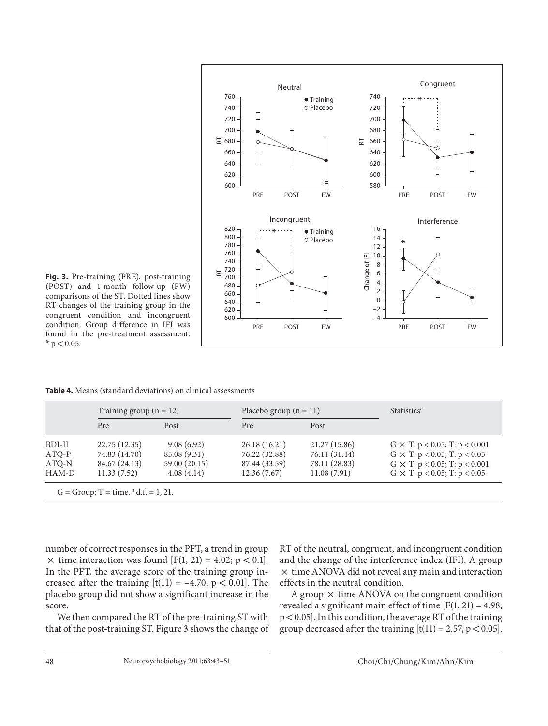

**Fig. 3.** Pre-training (PRE), post-training (POST) and 1-month follow-up (FW) comparisons of the ST. Dotted lines show RT changes of the training group in the congruent condition and incongruent condition. Group difference in IFI was found in the pre-treatment assessment.  $*$  p  $< 0.05$ .

Table 4. Means (standard deviations) on clinical assessments

|         | Training group $(n = 12)$ |               | Placebo group $(n = 11)$ |               | <b>Statistics<sup>a</sup></b>              |
|---------|---------------------------|---------------|--------------------------|---------------|--------------------------------------------|
|         | Pre                       | Post          | Pre                      | Post          |                                            |
| BDI-II  | 22.75 (12.35)             | 9.08(6.92)    | 26.18(16.21)             | 21.27 (15.86) | $G \times T$ : $p < 0.05$ ; T: $p < 0.001$ |
| $ATO-P$ | 74.83 (14.70)             | 85.08 (9.31)  | 76.22 (32.88)            | 76.11 (31.44) | $G \times T$ : $p < 0.05$ ; T: $p < 0.05$  |
| ATO-N   | 84.67 (24.13)             | 59.00 (20.15) | 87.44 (33.59)            | 78.11 (28.83) | $G \times T$ : $p < 0.05$ ; T: $p < 0.001$ |
| HAM-D   | 11.33(7.52)               | 4.08(4.14)    | 12.36(7.67)              | 11.08(7.91)   | $G \times T$ : $p < 0.05$ ; T: $p < 0.05$  |

number of correct responses in the PFT, a trend in group  $\times$  time interaction was found [F(1, 21) = 4.02; p < 0.1]. In the PFT, the average score of the training group increased after the training  $[t(11) = -4.70, p < 0.01]$ . The placebo group did not show a significant increase in the score.

 We then compared the RT of the pre-training ST with that of the post-training ST. Figure 3 shows the change of RT of the neutral, congruent, and incongruent condition and the change of the interference index (IFI). A group  $\times$  time ANOVA did not reveal any main and interaction effects in the neutral condition.

A group  $\times$  time ANOVA on the congruent condition revealed a significant main effect of time  $[F(1, 21) = 4.98;$  $p < 0.05$ ]. In this condition, the average RT of the training group decreased after the training  $[t(11) = 2.57, p < 0.05]$ .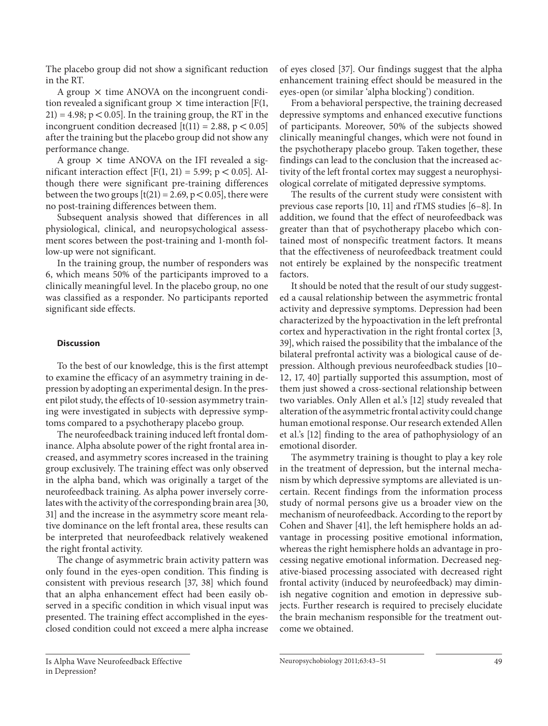The placebo group did not show a significant reduction in the RT.

A group  $\times$  time ANOVA on the incongruent condition revealed a significant group  $\times$  time interaction [F(1,  $21$ ) = 4.98; p < 0.05]. In the training group, the RT in the incongruent condition decreased  $[t(11) = 2.88, p < 0.05]$ after the training but the placebo group did not show any performance change.

A group  $\times$  time ANOVA on the IFI revealed a significant interaction effect [F(1, 21) = 5.99;  $p < 0.05$ ]. Although there were significant pre-training differences between the two groups  $[t(21) = 2.69, p < 0.05]$ , there were no post-training differences between them.

 Subsequent analysis showed that differences in all physiological, clinical, and neuropsychological assessment scores between the post-training and 1-month follow-up were not significant.

 In the training group, the number of responders was 6, which means 50% of the participants improved to a clinically meaningful level. In the placebo group, no one was classified as a responder. No participants reported significant side effects.

## **Discussion**

 To the best of our knowledge, this is the first attempt to examine the efficacy of an asymmetry training in depression by adopting an experimental design. In the present pilot study, the effects of 10-session asymmetry training were investigated in subjects with depressive symptoms compared to a psychotherapy placebo group.

 The neurofeedback training induced left frontal dominance. Alpha absolute power of the right frontal area increased, and asymmetry scores increased in the training group exclusively. The training effect was only observed in the alpha band, which was originally a target of the neurofeedback training. As alpha power inversely correlates with the activity of the corresponding brain area [30, 31] and the increase in the asymmetry score meant relative dominance on the left frontal area, these results can be interpreted that neurofeedback relatively weakened the right frontal activity.

 The change of asymmetric brain activity pattern was only found in the eyes-open condition. This finding is consistent with previous research [37, 38] which found that an alpha enhancement effect had been easily observed in a specific condition in which visual input was presented. The training effect accomplished in the eyesclosed condition could not exceed a mere alpha increase of eyes closed [37] . Our findings suggest that the alpha enhancement training effect should be measured in the eyes-open (or similar 'alpha blocking') condition.

 From a behavioral perspective, the training decreased depressive symptoms and enhanced executive functions of participants. Moreover, 50% of the subjects showed clinically meaningful changes, which were not found in the psychotherapy placebo group. Taken together, these findings can lead to the conclusion that the increased activity of the left frontal cortex may suggest a neurophysiological correlate of mitigated depressive symptoms.

 The results of the current study were consistent with previous case reports [10, 11] and rTMS studies [6–8] . In addition, we found that the effect of neurofeedback was greater than that of psychotherapy placebo which contained most of nonspecific treatment factors. It means that the effectiveness of neurofeedback treatment could not entirely be explained by the nonspecific treatment factors.

 It should be noted that the result of our study suggested a causal relationship between the asymmetric frontal activity and depressive symptoms. Depression had been characterized by the hypoactivation in the left prefrontal cortex and hyperactivation in the right frontal cortex [3, 39], which raised the possibility that the imbalance of the bilateral prefrontal activity was a biological cause of depression. Although previous neurofeedback studies [10– 12, 17, 40] partially supported this assumption, most of them just showed a cross-sectional relationship between two variables. Only Allen et al.'s [12] study revealed that alteration of the asymmetric frontal activity could change human emotional response. Our research extended Allen et al.'s [12] finding to the area of pathophysiology of an emotional disorder.

 The asymmetry training is thought to play a key role in the treatment of depression, but the internal mechanism by which depressive symptoms are alleviated is uncertain. Recent findings from the information process study of normal persons give us a broader view on the mechanism of neurofeedback. According to the report by Cohen and Shaver [41], the left hemisphere holds an advantage in processing positive emotional information, whereas the right hemisphere holds an advantage in processing negative emotional information. Decreased negative-biased processing associated with decreased right frontal activity (induced by neurofeedback) may diminish negative cognition and emotion in depressive subjects. Further research is required to precisely elucidate the brain mechanism responsible for the treatment outcome we obtained.

Is Alpha Wave Neurofeedback Effective in Depression?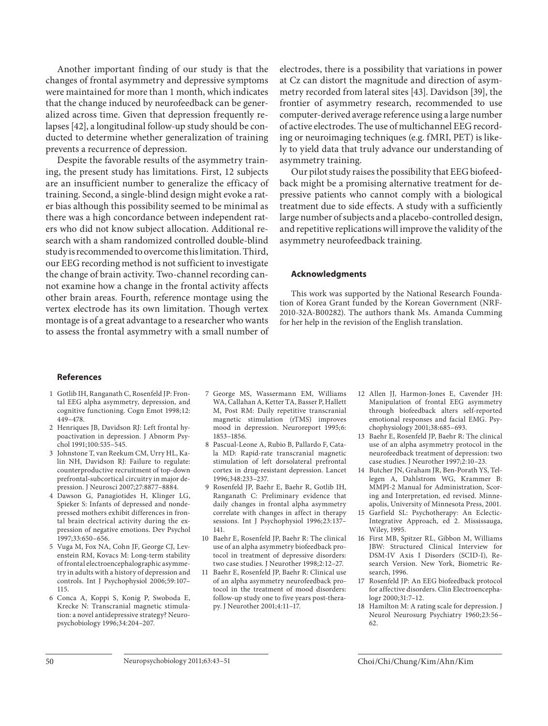Another important finding of our study is that the changes of frontal asymmetry and depressive symptoms were maintained for more than 1 month, which indicates that the change induced by neurofeedback can be generalized across time. Given that depression frequently relapses [42], a longitudinal follow-up study should be conducted to determine whether generalization of training prevents a recurrence of depression.

 Despite the favorable results of the asymmetry training, the present study has limitations. First, 12 subjects are an insufficient number to generalize the efficacy of training. Second, a single-blind design might evoke a rater bias although this possibility seemed to be minimal as there was a high concordance between independent raters who did not know subject allocation. Additional research with a sham randomized controlled double-blind study is recommended to overcome this limitation. Third, our EEG recording method is not sufficient to investigate the change of brain activity. Two-channel recording cannot examine how a change in the frontal activity affects other brain areas. Fourth, reference montage using the vertex electrode has its own limitation. Though vertex montage is of a great advantage to a researcher who wants to assess the frontal asymmetry with a small number of electrodes, there is a possibility that variations in power at Cz can distort the magnitude and direction of asymmetry recorded from lateral sites [43]. Davidson [39], the frontier of asymmetry research, recommended to use computer-derived average reference using a large number of active electrodes. The use of multichannel EEG recording or neuroimaging techniques (e.g. fMRI, PET) is likely to yield data that truly advance our understanding of asymmetry training.

 Our pilot study raises the possibility that EEG biofeedback might be a promising alternative treatment for depressive patients who cannot comply with a biological treatment due to side effects. A study with a sufficiently large number of subjects and a placebo-controlled design, and repetitive replications will improve the validity of the asymmetry neurofeedback training.

#### **Acknowledgments**

This work was supported by the National Research Foundation of Korea Grant funded by the Korean Government (NRF-2010-32A-B00282). The authors thank Ms. Amanda Cumming for her help in the revision of the English translation.

#### **References**

- 1 Gotlib IH, Ranganath C, Rosenfeld JP: Frontal EEG alpha asymmetry, depression, and cognitive functioning. Cogn Emot 1998;12: 449–478.
- 2 Henriques JB, Davidson RJ: Left frontal hypoactivation in depression. J Abnorm Psychol 1991;100:535–545.
- 3 Johnstone T, van Reekum CM, Urry HL, Kalin NH, Davidson RJ: Failure to regulate: counterproductive recruitment of top-down prefrontal-subcortical circuitry in major depression. J Neurosci 2007;27:8877–8884.
- 4 Dawson G, Panagiotides H, Klinger LG, Spieker S: Infants of depressed and nondepressed mothers exhibit differences in frontal brain electrical activity during the expression of negative emotions. Dev Psychol 1997;33:650–656.
- 5 Vuga M, Fox NA, Cohn JF, George CJ, Levenstein RM, Kovacs M: Long-term stability of frontal electroencephalographic asymmetry in adults with a history of depression and controls. Int J Psychophysiol 2006;59:107– 115.
- 6 Conca A, Koppi S, Konig P, Swoboda E, Krecke N: Transcranial magnetic stimulation: a novel antidepressive strategy? Neuropsychobiology 1996;34:204–207.
- 7 George MS, Wassermann EM, Williams WA, Callahan A, Ketter TA, Basser P, Hallett M, Post RM: Daily repetitive transcranial magnetic stimulation (rTMS) improves mood in depression. Neuroreport 1995;6: 1853–1856.
- 8 Pascual-Leone A, Rubio B, Pallardo F, Catala MD: Rapid-rate transcranial magnetic stimulation of left dorsolateral prefrontal cortex in drug-resistant depression. Lancet 1996;348:233–237.
- 9 Rosenfeld JP, Baehr E, Baehr R, Gotlib IH, Ranganath C: Preliminary evidence that daily changes in frontal alpha asymmetry correlate with changes in affect in therapy sessions. Int J Psychophysiol 1996;23:137– 141.
- 10 Baehr E, Rosenfeld JP, Baehr R: The clinical use of an alpha asymmetry biofeedback protocol in treatment of depressive disorders: two case studies. J Neurother 1998;2:12–27.
- 11 Baehr E, Rosenfeld JP, Baehr R: Clinical use of an alpha asymmetry neurofeedback protocol in the treatment of mood disorders: follow-up study one to five years post-therapy. J Neurother 2001;4:11–17.
- 12 Allen JJ, Harmon-Jones E, Cavender JH: Manipulation of frontal EEG asymmetry through biofeedback alters self-reported emotional responses and facial EMG. Psychophysiology 2001;38:685–693.
- 13 Baehr E, Rosenfeld JP, Baehr R: The clinical use of an alpha asymmetry protocol in the neurofeedback treatment of depression: two case studies. J Neurother 1997;2:10–23.
- 14 Butcher JN, Graham JR, Ben-Porath YS, Tellegen A, Dahlstrom WG, Krammer B: MMPI-2 Manual for Administration, Scoring and Interpretation, ed revised. Minneapolis, University of Minnesota Press, 2001.
- 15 Garfield SL: Psychotherapy: An Eclectic-Integrative Approach, ed 2. Mississauga, Wiley, 1995.
- 16 First MB, Spitzer RL, Gibbon M, Williams JBW: Structured Clinical Interview for DSM-IV Axis I Disorders (SCID-I), Research Version. New York, Biometric Research, 1996.
- 17 Rosenfeld JP: An EEG biofeedback protocol for affective disorders. Clin Electroencephalogr 2000;31:7–12.
- 18 Hamilton M: A rating scale for depression. J Neurol Neurosurg Psychiatry 1960;23:56– 62.